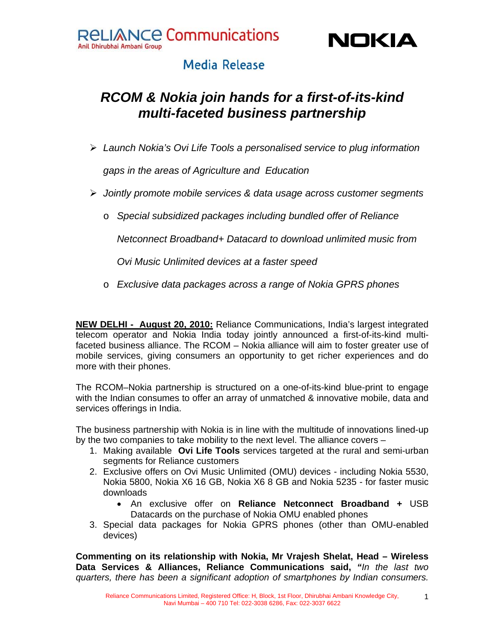

## **Media Release**

# *RCOM & Nokia join hands for a first-of-its-kind multi-faceted business partnership*

¾ *Launch Nokia's Ovi Life Tools a personalised service to plug information* 

*gaps in the areas of Agriculture and Education* 

- ¾ *Jointly promote mobile services & data usage across customer segments* 
	- o *Special subsidized packages including bundled offer of Reliance*

*Netconnect Broadband+ Datacard to download unlimited music from* 

*Ovi Music Unlimited devices at a faster speed* 

o *Exclusive data packages across a range of Nokia GPRS phones* 

**NEW DELHI - August 20, 2010:** Reliance Communications, India's largest integrated telecom operator and Nokia India today jointly announced a first-of-its-kind multifaceted business alliance. The RCOM – Nokia alliance will aim to foster greater use of mobile services, giving consumers an opportunity to get richer experiences and do more with their phones.

The RCOM–Nokia partnership is structured on a one-of-its-kind blue-print to engage with the Indian consumes to offer an array of unmatched & innovative mobile, data and services offerings in India.

The business partnership with Nokia is in line with the multitude of innovations lined-up by the two companies to take mobility to the next level. The alliance covers –

- 1. Making available **Ovi Life Tools** services targeted at the rural and semi-urban segments for Reliance customers
- 2. Exclusive offers on Ovi Music Unlimited (OMU) devices including Nokia 5530, Nokia 5800, Nokia X6 16 GB, Nokia X6 8 GB and Nokia 5235 - for faster music downloads
	- An exclusive offer on **Reliance Netconnect Broadband +** USB Datacards on the purchase of Nokia OMU enabled phones
- 3. Special data packages for Nokia GPRS phones (other than OMU-enabled devices)

**Commenting on its relationship with Nokia, Mr Vrajesh Shelat, Head – Wireless Data Services & Alliances, Reliance Communications said,** *"In the last two quarters, there has been a significant adoption of smartphones by Indian consumers.* 

1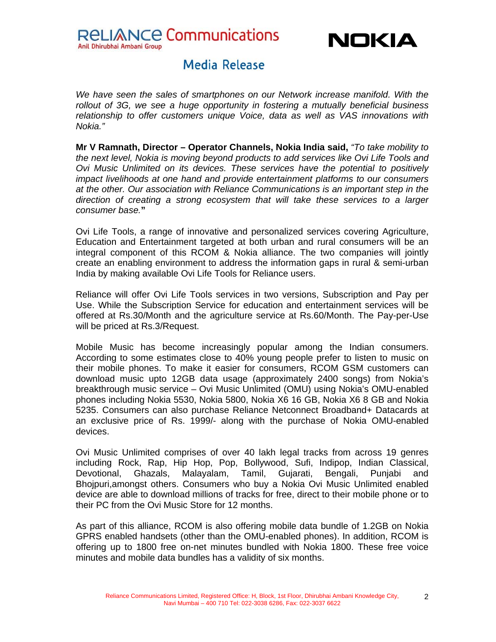RELIANCE Communications

Anil Dhirubhai Ambani Group



### **Media Release**

*We have seen the sales of smartphones on our Network increase manifold. With the rollout of 3G, we see a huge opportunity in fostering a mutually beneficial business relationship to offer customers unique Voice, data as well as VAS innovations with Nokia."* 

**Mr V Ramnath, Director – Operator Channels, Nokia India said,** *"To take mobility to the next level, Nokia is moving beyond products to add services like Ovi Life Tools and Ovi Music Unlimited on its devices. These services have the potential to positively impact livelihoods at one hand and provide entertainment platforms to our consumers at the other. Our association with Reliance Communications is an important step in the direction of creating a strong ecosystem that will take these services to a larger consumer base.***"**

Ovi Life Tools, a range of innovative and personalized services covering Agriculture, Education and Entertainment targeted at both urban and rural consumers will be an integral component of this RCOM & Nokia alliance. The two companies will jointly create an enabling environment to address the information gaps in rural & semi-urban India by making available Ovi Life Tools for Reliance users.

Reliance will offer Ovi Life Tools services in two versions, Subscription and Pay per Use. While the Subscription Service for education and entertainment services will be offered at Rs.30/Month and the agriculture service at Rs.60/Month. The Pay-per-Use will be priced at Rs.3/Request.

Mobile Music has become increasingly popular among the Indian consumers. According to some estimates close to 40% young people prefer to listen to music on their mobile phones. To make it easier for consumers, RCOM GSM customers can download music upto 12GB data usage (approximately 2400 songs) from Nokia's breakthrough music service – Ovi Music Unlimited (OMU) using Nokia's OMU-enabled phones including Nokia 5530, Nokia 5800, Nokia X6 16 GB, Nokia X6 8 GB and Nokia 5235. Consumers can also purchase Reliance Netconnect Broadband+ Datacards at an exclusive price of Rs. 1999/- along with the purchase of Nokia OMU-enabled devices.

Ovi Music Unlimited comprises of over 40 lakh legal tracks from across 19 genres including Rock, Rap, Hip Hop, Pop, Bollywood, Sufi, Indipop, Indian Classical, Devotional, Ghazals, Malayalam, Tamil, Gujarati, Bengali, Punjabi and Bhojpuri,amongst others. Consumers who buy a Nokia Ovi Music Unlimited enabled device are able to download millions of tracks for free, direct to their mobile phone or to their PC from the Ovi Music Store for 12 months.

As part of this alliance, RCOM is also offering mobile data bundle of 1.2GB on Nokia GPRS enabled handsets (other than the OMU-enabled phones). In addition, RCOM is offering up to 1800 free on-net minutes bundled with Nokia 1800. These free voice minutes and mobile data bundles has a validity of six months.